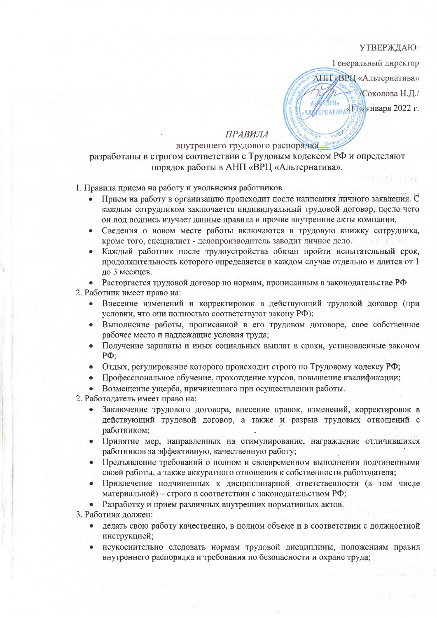## УТВЕРЖДАЮ:

an Nis Bibliothera

Генеральный директор

АНП «ВРП «Альтернатива» Соколова Н.Д./ **APID** АЛУ ЕРНАТИВАЯ ELS ЯНВаря 2022 г.

## **ПРАВИЛА**

## внутреннего трудового распорядка «Bont разработаны в строгом соответствии с Трудовым кодексом РФ и определяют порядок работы в АНП «ВРЦ «Альтернатива».

## 1. Правила приема на работу и увольнения работников

- Прием на работу в организацию происходит после написания личного заявления. С каждым сотрудником заключается индивидуальный трудовой договор, после чего он под подпись изучает данные правила и прочие внутренние акты компании.
- Сведения о новом месте работы включаются в трудовую книжку сотрудника.  $\bullet$ кроме того, специалист - делопроизводитель заводит личное дело.
- Каждый работник после трудоустройства обязан пройти испытательный срок, продолжительность которого определяется в каждом случае отдельно и длится от 1 до 3 месяцев.

• Расторгается трудовой договор по нормам, прописанным в законодательстве РФ

- 2. Работник имеет право на:
	- Внесение изменений и корректировок в действующий трудовой договор (при условии, что они полностью соответствуют закону РФ);
	- Выполнение работы, прописанной в его трудовом договоре, свое собственное рабочее место и надлежащие условия труда;
	- Получение зарплаты и иных социальных выплат в сроки, установленные законом  $P\Phi$ :
	- Отдых, регулирование которого происходит строго по Трудовому кодексу РФ;
	- Профессиональное обучение, прохождение курсов, повышение квалификации;
	- Возмещение ущерба, причиненного при осуществлении работы.
- 2. Работодатель имеет право на:
	- Заключение трудового договора, внесение правок, изменений, корректировок в действующий трудовой договор, а также и разрыв трудовых отношений с работником:
	- Принятие мер, направленных на стимулирование, награждение отличившихся  $\bullet$ работников за эффективную, качественную работу;
	- Предъявление требований о полном и своевременном выполнении подчиненными  $\bullet$ своей работы, а также аккуратного отношения к собственности работодателя;
	- Привлечение подчиненных к дисциплинарной ответственности (в том числе материальной) - строго в соответствии с законодательством РФ;

Разработку и прием различных внутренних нормативных актов.

3. Работник должен:

- делать свою работу качественно, в полном объеме и в соответствии с должностной инструкцией;
- неукоснительно следовать нормам трудовой дисциплины, положениям правил внутреннего распорядка и требования по безопасности и охране труда;